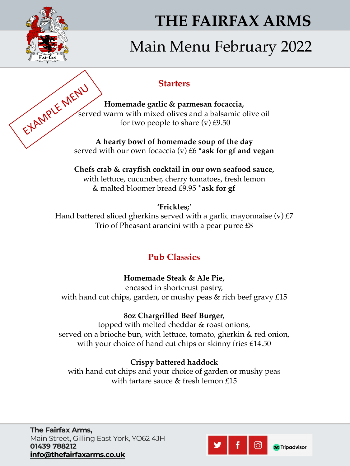

# **THE FAIRFAX ARMS**

# Main Menu February 2022

### **Starters**

**Homemade garlic & parmesan focaccia,**  served warm with mixed olives and a balsamic olive oil for two people to share  $(v)$  £9.50 EXAMPLE MENU

**A hearty bowl of homemade soup of the day**  served with our own focaccia (v) £6 **\*ask for gf and vegan**

**Chefs crab & crayfish cocktail in our own seafood sauce,**  with lettuce, cucumber, cherry tomatoes, fresh lemon & malted bloomer bread £9.95 **\*ask for gf**

**'Frickles;'** 

Hand battered sliced gherkins served with a garlic mayonnaise  $(v)$  £7 Trio of Pheasant arancini with a pear puree £8

# **Pub Classics**

## **Homemade Steak & Ale Pie,**

encased in shortcrust pastry, with hand cut chips, garden, or mushy peas & rich beef gravy £15

### **8oz Chargrilled Beef Burger,**

topped with melted cheddar & roast onions, served on a brioche bun, with lettuce, tomato, gherkin & red onion, with your choice of hand cut chips or skinny fries £14.50

#### **Crispy battered haddock**

with hand cut chips and your choice of garden or mushy peas with tartare sauce & fresh lemon £15

**The Fairfax Arms,**  Main Street, Gilling East York, YO62 4JH **01439 788212 [info@thefairfaxarms.co.uk](mailto:info@thefairfaxarms.co.uk)**

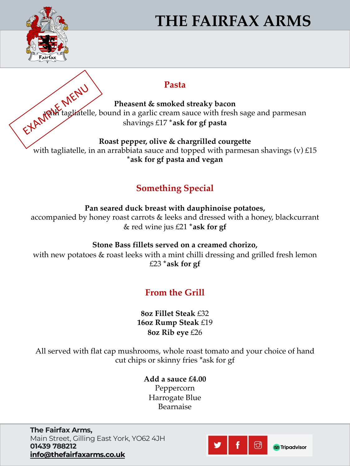

# **THE FAIRFAX ARMS**

#### **Pasta**

**Pheasent & smoked streaky bacon**  with tagliatelle, bound in a garlic cream sauce with fresh sage and parmesan shavings £17 **\*ask for gf pasta** EXAMPLE MENU

**Roast pepper, olive & chargrilled courgette**  with tagliatelle, in an arrabbiata sauce and topped with parmesan shavings  $(v)$  £15 **\*ask for gf pasta and vegan**

## **Something Special**

**Pan seared duck breast with dauphinoise potatoes,** 

accompanied by honey roast carrots & leeks and dressed with a honey, blackcurrant & red wine jus £21 **\*ask for gf**

**Stone Bass fillets served on a creamed chorizo,** 

with new potatoes & roast leeks with a mint chilli dressing and grilled fresh lemon £23 **\*ask for gf**

## **From the Grill**

#### **8oz Fillet Steak** £32 **16oz Rump Steak** £19 **8oz Rib eye** £26

All served with flat cap mushrooms, whole roast tomato and your choice of hand cut chips or skinny fries \*ask for gf

> **Add a sauce £4.00** Peppercorn Harrogate Blue Bearnaise

**The Fairfax Arms,**  Main Street, Gilling East York, YO62 4JH **01439 788212 [info@thefairfaxarms.co.uk](mailto:info@thefairfaxarms.co.uk)**